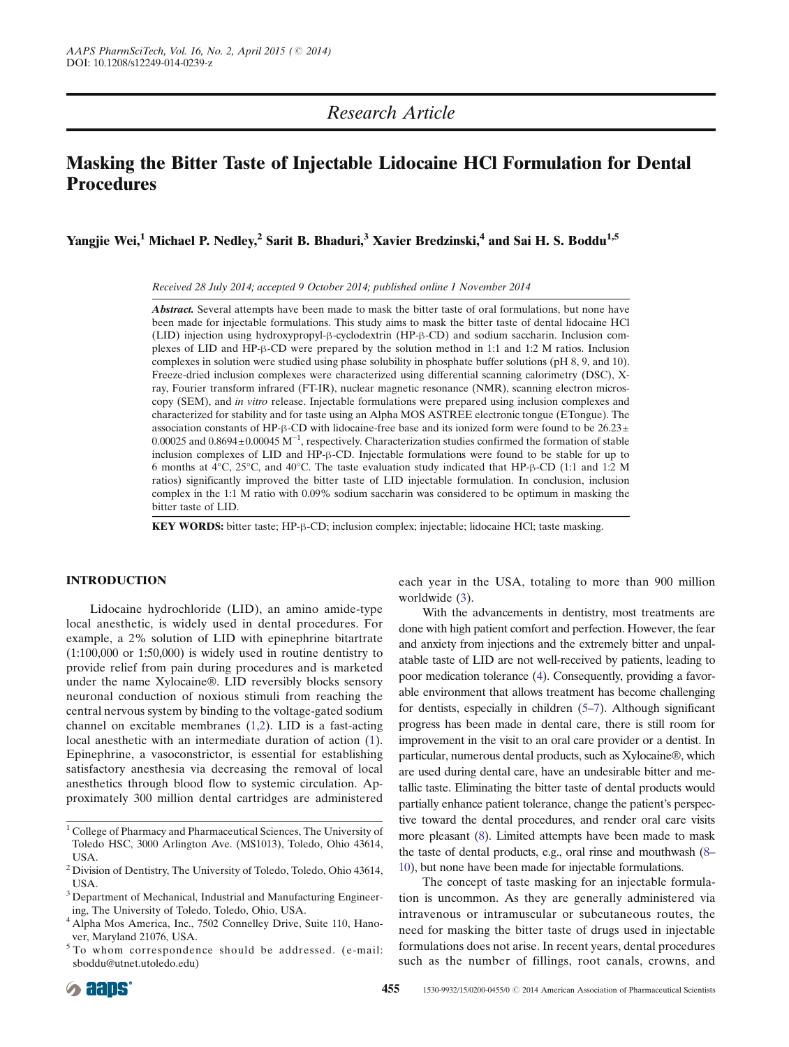# Research Article

# Masking the Bitter Taste of Injectable Lidocaine HCl Formulation for Dental Procedures

Yangjie Wei,<sup>1</sup> Michael P. Nedley,<sup>2</sup> Sarit B. Bhaduri,<sup>3</sup> Xavier Bredzinski,<sup>4</sup> and Sai H. S. Boddu<sup>1,5</sup>

Received 28 July 2014; accepted 9 October 2014; published online 1 November 2014

Abstract. Several attempts have been made to mask the bitter taste of oral formulations, but none have been made for injectable formulations. This study aims to mask the bitter taste of dental lidocaine HCl (LID) injection using hydroxypropyl-β-cyclodextrin (HP-β-CD) and sodium saccharin. Inclusion complexes of LID and HP-β-CD were prepared by the solution method in 1:1 and 1:2 M ratios. Inclusion complexes in solution were studied using phase solubility in phosphate buffer solutions (pH 8, 9, and 10). Freeze-dried inclusion complexes were characterized using differential scanning calorimetry (DSC), Xray, Fourier transform infrared (FT-IR), nuclear magnetic resonance (NMR), scanning electron microscopy (SEM), and in vitro release. Injectable formulations were prepared using inclusion complexes and characterized for stability and for taste using an Alpha MOS ASTREE electronic tongue (ETongue). The association constants of HP-β-CD with lidocaine-free base and its ionized form were found to be  $26.23\pm$ 0.00025 and 0.8694±0.00045 M<sup>-1</sup>, respectively. Characterization studies confirmed the formation of stable inclusion complexes of LID and HP-β-CD. Injectable formulations were found to be stable for up to 6 months at 4°C, 25°C, and 40°C. The taste evaluation study indicated that HP-β-CD (1:1 and 1:2 M ratios) significantly improved the bitter taste of LID injectable formulation. In conclusion, inclusion complex in the 1:1 M ratio with 0.09% sodium saccharin was considered to be optimum in masking the bitter taste of LID.

KEY WORDS: bitter taste; HP-β-CD; inclusion complex; injectable; lidocaine HCl; taste masking.

# INTRODUCTION

Lidocaine hydrochloride (LID), an amino amide-type local anesthetic, is widely used in dental procedures. For example, a 2% solution of LID with epinephrine bitartrate (1:100,000 or 1:50,000) is widely used in routine dentistry to provide relief from pain during procedures and is marketed under the name Xylocaine®. LID reversibly blocks sensory neuronal conduction of noxious stimuli from reaching the central nervous system by binding to the voltage-gated sodium channel on excitable membranes [\(1,2](#page-9-0)). LID is a fast-acting local anesthetic with an intermediate duration of action ([1](#page-9-0)). Epinephrine, a vasoconstrictor, is essential for establishing satisfactory anesthesia via decreasing the removal of local anesthetics through blood flow to systemic circulation. Approximately 300 million dental cartridges are administered

each year in the USA, totaling to more than 900 million worldwide ([3](#page-9-0)).

With the advancements in dentistry, most treatments are done with high patient comfort and perfection. However, the fear and anxiety from injections and the extremely bitter and unpalatable taste of LID are not well-received by patients, leading to poor medication tolerance [\(4\)](#page-9-0). Consequently, providing a favorable environment that allows treatment has become challenging for dentists, especially in children ([5](#page-9-0)–[7\)](#page-9-0). Although significant progress has been made in dental care, there is still room for improvement in the visit to an oral care provider or a dentist. In particular, numerous dental products, such as Xylocaine®, which are used during dental care, have an undesirable bitter and metallic taste. Eliminating the bitter taste of dental products would partially enhance patient tolerance, change the patient's perspective toward the dental procedures, and render oral care visits more pleasant [\(8\)](#page-9-0). Limited attempts have been made to mask the taste of dental products, e.g., oral rinse and mouthwash [\(8](#page-9-0)– [10\)](#page-9-0), but none have been made for injectable formulations.

The concept of taste masking for an injectable formulation is uncommon. As they are generally administered via intravenous or intramuscular or subcutaneous routes, the need for masking the bitter taste of drugs used in injectable formulations does not arise. In recent years, dental procedures such as the number of fillings, root canals, crowns, and

<sup>1</sup> College of Pharmacy and Pharmaceutical Sciences, The University of Toledo HSC, 3000 Arlington Ave. (MS1013), Toledo, Ohio 43614, USA.

<sup>2</sup> Division of Dentistry, The University of Toledo, Toledo, Ohio 43614, USA.

<sup>&</sup>lt;sup>3</sup> Department of Mechanical, Industrial and Manufacturing Engineering, The University of Toledo, Toledo, Ohio, USA.

<sup>4</sup> Alpha Mos America, Inc., 7502 Connelley Drive, Suite 110, Hanover, Maryland 21076, USA.

<sup>5</sup> To whom correspondence should be addressed. (e-mail: sboddu@utnet.utoledo.edu)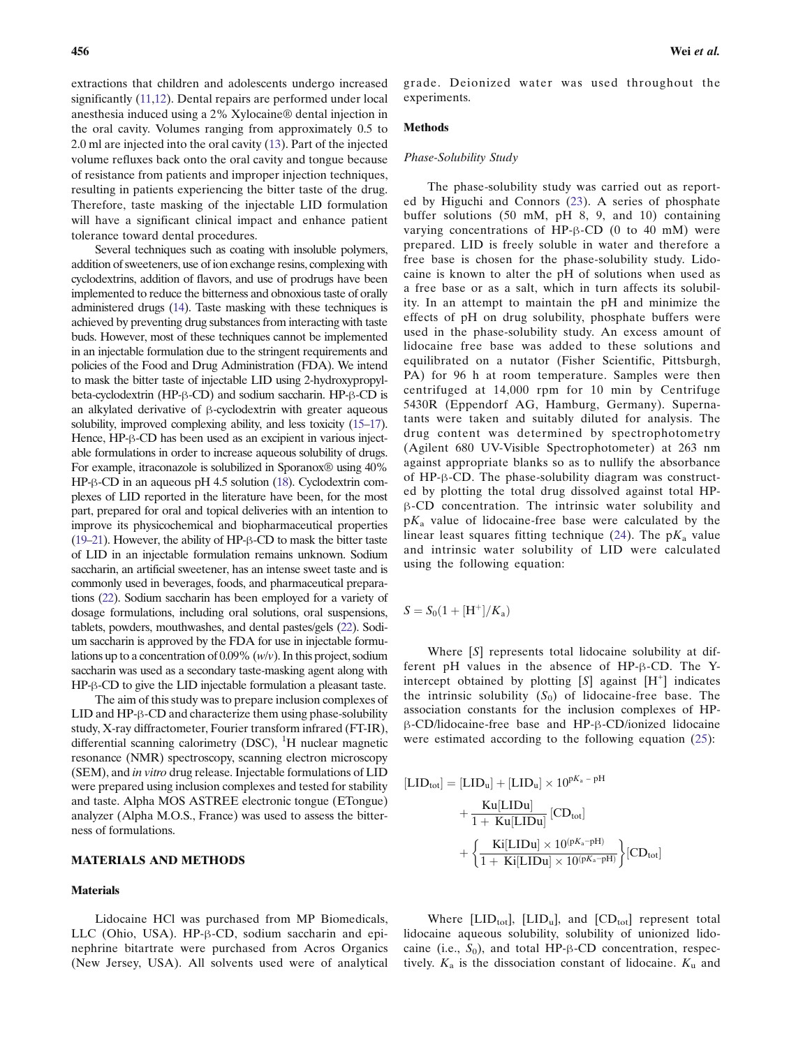extractions that children and adolescents undergo increased significantly ([11](#page-9-0),[12\)](#page-9-0). Dental repairs are performed under local anesthesia induced using a 2% Xylocaine® dental injection in the oral cavity. Volumes ranging from approximately 0.5 to 2.0 ml are injected into the oral cavity [\(13](#page-9-0)). Part of the injected volume refluxes back onto the oral cavity and tongue because of resistance from patients and improper injection techniques, resulting in patients experiencing the bitter taste of the drug. Therefore, taste masking of the injectable LID formulation will have a significant clinical impact and enhance patient tolerance toward dental procedures.

Several techniques such as coating with insoluble polymers, addition of sweeteners, use of ion exchange resins, complexing with cyclodextrins, addition of flavors, and use of prodrugs have been implemented to reduce the bitterness and obnoxious taste of orally administered drugs ([14](#page-9-0)). Taste masking with these techniques is achieved by preventing drug substances from interacting with taste buds. However, most of these techniques cannot be implemented in an injectable formulation due to the stringent requirements and policies of the Food and Drug Administration (FDA). We intend to mask the bitter taste of injectable LID using 2-hydroxypropylbeta-cyclodextrin (HP-β-CD) and sodium saccharin. HP-β-CD is an alkylated derivative of β-cyclodextrin with greater aqueous solubility, improved complexing ability, and less toxicity [\(15](#page-9-0)–[17](#page-9-0)). Hence, HP-β-CD has been used as an excipient in various injectable formulations in order to increase aqueous solubility of drugs. For example, itraconazole is solubilized in Sporanox<sup>®</sup> using 40% HP-β-CD in an aqueous pH 4.5 solution [\(18](#page-9-0)). Cyclodextrin complexes of LID reported in the literature have been, for the most part, prepared for oral and topical deliveries with an intention to improve its physicochemical and biopharmaceutical properties [\(19](#page-9-0)–[21](#page-9-0)). However, the ability of HP-β-CD to mask the bitter taste of LID in an injectable formulation remains unknown. Sodium saccharin, an artificial sweetener, has an intense sweet taste and is commonly used in beverages, foods, and pharmaceutical preparations [\(22\)](#page-9-0). Sodium saccharin has been employed for a variety of dosage formulations, including oral solutions, oral suspensions, tablets, powders, mouthwashes, and dental pastes/gels [\(22\)](#page-9-0). Sodium saccharin is approved by the FDA for use in injectable formulations up to a concentration of  $0.09\%$  (w/v). In this project, sodium saccharin was used as a secondary taste-masking agent along with HP-β-CD to give the LID injectable formulation a pleasant taste.

The aim of this study was to prepare inclusion complexes of LID and HP-β-CD and characterize them using phase-solubility study, X-ray diffractometer, Fourier transform infrared (FT-IR), differential scanning calorimetry (DSC),  ${}^{1}H$  nuclear magnetic resonance (NMR) spectroscopy, scanning electron microscopy (SEM), and in vitro drug release. Injectable formulations of LID were prepared using inclusion complexes and tested for stability and taste. Alpha MOS ASTREE electronic tongue (ETongue) analyzer (Alpha M.O.S., France) was used to assess the bitterness of formulations.

# MATERIALS AND METHODS

#### **Materials**

Lidocaine HCl was purchased from MP Biomedicals, LLC (Ohio, USA). HP-β-CD, sodium saccharin and epinephrine bitartrate were purchased from Acros Organics (New Jersey, USA). All solvents used were of analytical grade. Deionized water was used throughout the experiments.

# Methods

# Phase-Solubility Study

The phase-solubility study was carried out as reported by Higuchi and Connors ([23](#page-9-0)). A series of phosphate buffer solutions (50 mM, pH 8, 9, and 10) containing varying concentrations of HP-β-CD (0 to 40 mM) were prepared. LID is freely soluble in water and therefore a free base is chosen for the phase-solubility study. Lidocaine is known to alter the pH of solutions when used as a free base or as a salt, which in turn affects its solubility. In an attempt to maintain the pH and minimize the effects of pH on drug solubility, phosphate buffers were used in the phase-solubility study. An excess amount of lidocaine free base was added to these solutions and equilibrated on a nutator (Fisher Scientific, Pittsburgh, PA) for 96 h at room temperature. Samples were then centrifuged at 14,000 rpm for 10 min by Centrifuge 5430R (Eppendorf AG, Hamburg, Germany). Supernatants were taken and suitably diluted for analysis. The drug content was determined by spectrophotometry (Agilent 680 UV-Visible Spectrophotometer) at 263 nm against appropriate blanks so as to nullify the absorbance of HP-β-CD. The phase-solubility diagram was constructed by plotting the total drug dissolved against total HPβ-CD concentration. The intrinsic water solubility and  $pK_a$  value of lidocaine-free base were calculated by the linear least squares fitting technique ([24](#page-9-0)). The  $pK_a$  value and intrinsic water solubility of LID were calculated using the following equation:

 $S = S_0(1 + [H^+] / K_a)$ 

Where [S] represents total lidocaine solubility at different pH values in the absence of HP-β-CD. The Yintercept obtained by plotting  $[S]$  against  $[H^+]$  indicates the intrinsic solubility  $(S_0)$  of lidocaine-free base. The association constants for the inclusion complexes of HPβ-CD/lidocaine-free base and HP-β-CD/ionized lidocaine were estimated according to the following equation ([25](#page-9-0)):

$$
\begin{aligned} \left[ LID_{tot} \right] &= \left[ LID_u \right] + \left[ LID_u \right] \times 10^{pK_a - pH} \\ &+ \frac{Ku[LIDu]}{1 + Ku[LIDu]} \left[ CD_{tot} \right] \\ &+ \left\{ \frac{Ki[LIDu] \times 10^{(pK_a - pH)}}{1 + Ki[LIDu] \times 10^{(pK_a - pH)}} \right\} \left[ CD_{tot} \right] \end{aligned}
$$

Where  $[LID_{\text{tot}}]$ ,  $[LID_{\text{u}}]$ , and  $[CD_{\text{tot}}]$  represent total lidocaine aqueous solubility, solubility of unionized lidocaine (i.e.,  $S_0$ ), and total HP-β-CD concentration, respectively.  $K_a$  is the dissociation constant of lidocaine.  $K_u$  and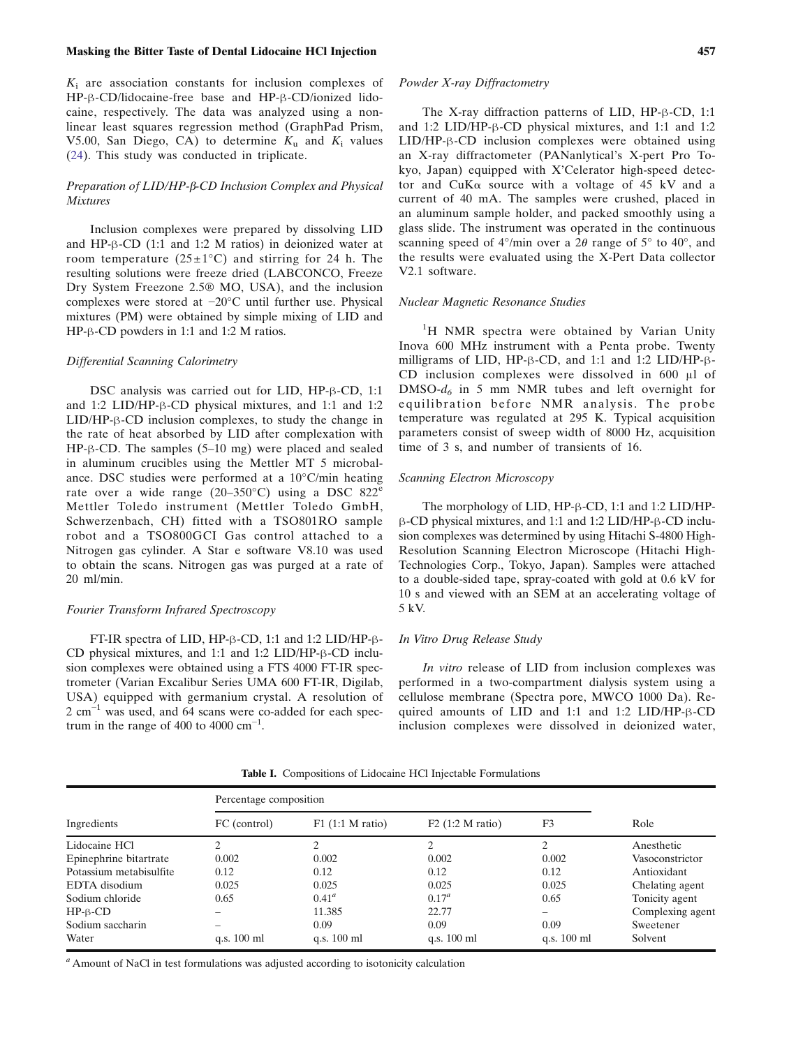#### <span id="page-2-0"></span>Masking the Bitter Taste of Dental Lidocaine HCl Injection 457

 $K_i$  are association constants for inclusion complexes of HP-β-CD/lidocaine-free base and HP-β-CD/ionized lidocaine, respectively. The data was analyzed using a nonlinear least squares regression method (GraphPad Prism, V5.00, San Diego, CA) to determine  $K_u$  and  $K_i$  values ([24\)](#page-9-0). This study was conducted in triplicate.

# Preparation of LID/HP-β-CD Inclusion Complex and Physical **Mixtures**

Inclusion complexes were prepared by dissolving LID and HP-β-CD (1:1 and 1:2 M ratios) in deionized water at room temperature  $(25 \pm 1^{\circ}C)$  and stirring for 24 h. The resulting solutions were freeze dried (LABCONCO, Freeze Dry System Freezone 2.5® MO, USA), and the inclusion complexes were stored at −20°C until further use. Physical mixtures (PM) were obtained by simple mixing of LID and HP-β-CD powders in 1:1 and 1:2 M ratios.

#### Differential Scanning Calorimetry

DSC analysis was carried out for LID, HP-β-CD, 1:1 and 1:2 LID/HP-β-CD physical mixtures, and 1:1 and 1:2 LID/HP-β-CD inclusion complexes, to study the change in the rate of heat absorbed by LID after complexation with HP-β-CD. The samples (5–10 mg) were placed and sealed in aluminum crucibles using the Mettler MT 5 microbalance. DSC studies were performed at a 10°C/min heating rate over a wide range  $(20-350^{\circ}C)$  using a DSC 822<sup>e</sup> Mettler Toledo instrument (Mettler Toledo GmbH, Schwerzenbach, CH) fitted with a TSO801RO sample robot and a TSO800GCI Gas control attached to a Nitrogen gas cylinder. A Star e software V8.10 was used to obtain the scans. Nitrogen gas was purged at a rate of 20 ml/min.

# Fourier Transform Infrared Spectroscopy

FT-IR spectra of LID, HP-β-CD, 1:1 and 1:2 LID/HP-β-CD physical mixtures, and 1:1 and 1:2 LID/HP-β-CD inclusion complexes were obtained using a FTS 4000 FT-IR spectrometer (Varian Excalibur Series UMA 600 FT-IR, Digilab, USA) equipped with germanium crystal. A resolution of 2 cm<sup>-1</sup> was used, and 64 scans were co-added for each spectrum in the range of 400 to 4000  $\text{cm}^{-1}$ .

# Powder X-ray Diffractometry

The X-ray diffraction patterns of LID, HP-β-CD, 1:1 and 1:2 LID/HP-β-CD physical mixtures, and 1:1 and 1:2 LID/HP-β-CD inclusion complexes were obtained using an X-ray diffractometer (PANanlytical's X-pert Pro Tokyo, Japan) equipped with X'Celerator high-speed detector and  $CuKa$  source with a voltage of 45 kV and a current of 40 mA. The samples were crushed, placed in an aluminum sample holder, and packed smoothly using a glass slide. The instrument was operated in the continuous scanning speed of  $4^{\circ}/\text{min}$  over a  $2\theta$  range of  $5^{\circ}$  to  $40^{\circ}$ , and the results were evaluated using the X-Pert Data collector V2.1 software.

#### Nuclear Magnetic Resonance Studies

<sup>1</sup>H NMR spectra were obtained by Varian Unity Inova 600 MHz instrument with a Penta probe. Twenty milligrams of LID, HP-β-CD, and 1:1 and 1:2 LID/HP-β-CD inclusion complexes were dissolved in 600 μl of  $DMSO-d_6$  in 5 mm NMR tubes and left overnight for equilibration before NMR analysis. The probe temperature was regulated at 295 K. Typical acquisition parameters consist of sweep width of 8000 Hz, acquisition time of 3 s, and number of transients of 16.

# Scanning Electron Microscopy

The morphology of LID, HP-β-CD, 1:1 and 1:2 LID/HPβ-CD physical mixtures, and 1:1 and 1:2 LID/HP-β-CD inclusion complexes was determined by using Hitachi S-4800 High-Resolution Scanning Electron Microscope (Hitachi High-Technologies Corp., Tokyo, Japan). Samples were attached to a double-sided tape, spray-coated with gold at 0.6 kV for 10 s and viewed with an SEM at an accelerating voltage of 5 kV.

#### In Vitro Drug Release Study

In vitro release of LID from inclusion complexes was performed in a two-compartment dialysis system using a cellulose membrane (Spectra pore, MWCO 1000 Da). Required amounts of LID and 1:1 and 1:2 LID/HP-β-CD inclusion complexes were dissolved in deionized water,

|                         | Percentage composition |                       |                    |                       |                  |
|-------------------------|------------------------|-----------------------|--------------------|-----------------------|------------------|
| Ingredients             | FC (control)           | $F1$ (1:1 M ratio)    | $F2$ (1:2 M ratio) | F3                    | Role             |
| Lidocaine HCl           |                        |                       |                    |                       | Anesthetic       |
| Epinephrine bitartrate  | 0.002                  | 0.002                 | 0.002              | 0.002                 | Vasoconstrictor  |
| Potassium metabisulfite | 0.12                   | 0.12                  | 0.12               | 0.12                  | Antioxidant      |
| EDTA disodium           | 0.025                  | 0.025                 | 0.025              | 0.025                 | Chelating agent  |
| Sodium chloride         | 0.65                   | $0.41^a$              | $0.17^a$           | 0.65                  | Tonicity agent   |
| $HP-\beta-CD$           |                        | 11.385                | 22.77              |                       | Complexing agent |
| Sodium saccharin        |                        | 0.09                  | 0.09               | 0.09                  | Sweetener        |
| Water                   | q.s. $100 \text{ ml}$  | q.s. $100 \text{ ml}$ | q.s. 100 ml        | q.s. $100 \text{ ml}$ | Solvent          |

Table I. Compositions of Lidocaine HCl Injectable Formulations

 $a<sup>a</sup>$  Amount of NaCl in test formulations was adjusted according to isotonicity calculation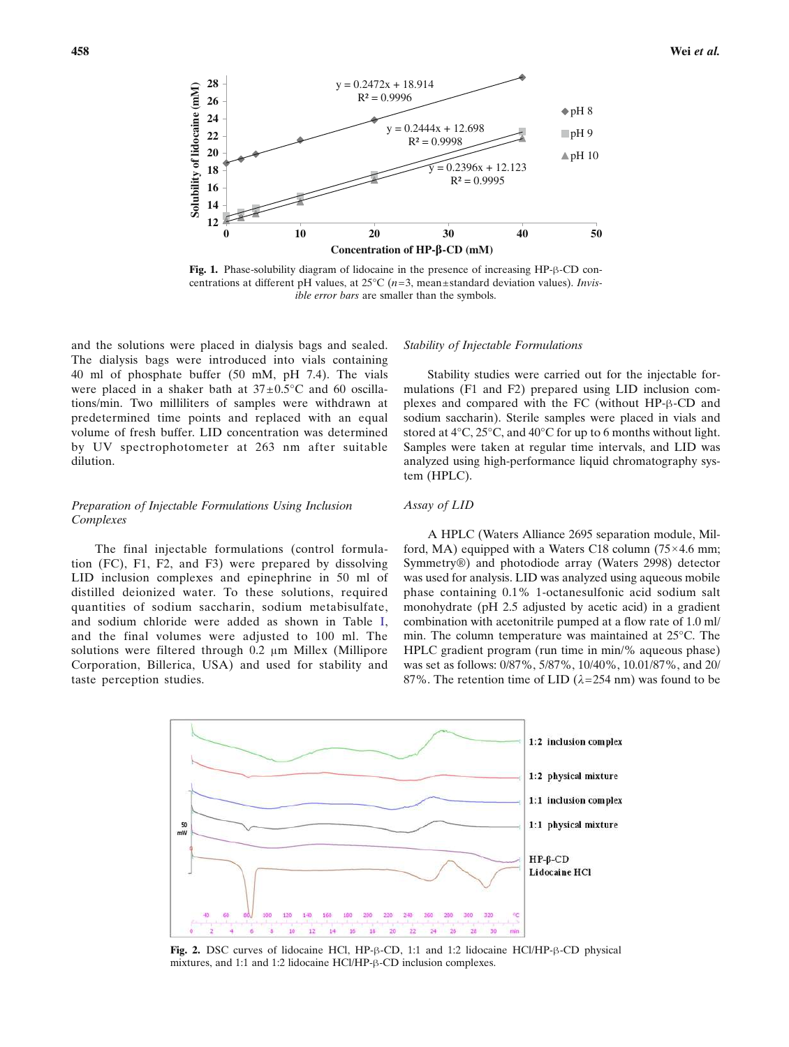<span id="page-3-0"></span>

Fig. 1. Phase-solubility diagram of lidocaine in the presence of increasing HP-β-CD concentrations at different pH values, at  $25^{\circ}C$  ( $n=3$ , mean±standard deviation values). *Invis*ible error bars are smaller than the symbols.

and the solutions were placed in dialysis bags and sealed. The dialysis bags were introduced into vials containing 40 ml of phosphate buffer (50 mM, pH 7.4). The vials were placed in a shaker bath at  $37 \pm 0.5^{\circ}$ C and 60 oscillations/min. Two milliliters of samples were withdrawn at predetermined time points and replaced with an equal volume of fresh buffer. LID concentration was determined by UV spectrophotometer at 263 nm after suitable dilution.

# Preparation of Injectable Formulations Using Inclusion Complexes

The final injectable formulations (control formulation (FC), F1, F2, and F3) were prepared by dissolving LID inclusion complexes and epinephrine in 50 ml of distilled deionized water. To these solutions, required quantities of sodium saccharin, sodium metabisulfate, and sodium chloride were added as shown in Table [I,](#page-2-0) and the final volumes were adjusted to 100 ml. The solutions were filtered through 0.2 μm Millex (Millipore Corporation, Billerica, USA) and used for stability and taste perception studies.

# Stability of Injectable Formulations

Stability studies were carried out for the injectable formulations (F1 and F2) prepared using LID inclusion complexes and compared with the FC (without HP-β-CD and sodium saccharin). Sterile samples were placed in vials and stored at 4°C, 25°C, and 40°C for up to 6 months without light. Samples were taken at regular time intervals, and LID was analyzed using high-performance liquid chromatography system (HPLC).

#### Assay of LID

A HPLC (Waters Alliance 2695 separation module, Milford, MA) equipped with a Waters C18 column  $(75 \times 4.6 \text{ mm})$ ; Symmetry®) and photodiode array (Waters 2998) detector was used for analysis. LID was analyzed using aqueous mobile phase containing 0.1% 1-octanesulfonic acid sodium salt monohydrate (pH 2.5 adjusted by acetic acid) in a gradient combination with acetonitrile pumped at a flow rate of 1.0 ml/ min. The column temperature was maintained at 25°C. The HPLC gradient program (run time in min/% aqueous phase) was set as follows: 0/87%, 5/87%, 10/40%, 10.01/87%, and 20/ 87%. The retention time of LID ( $\lambda$ =254 nm) was found to be



Fig. 2. DSC curves of lidocaine HCl, HP-β-CD, 1:1 and 1:2 lidocaine HCl/HP-β-CD physical mixtures, and 1:1 and 1:2 lidocaine HCl/HP-β-CD inclusion complexes.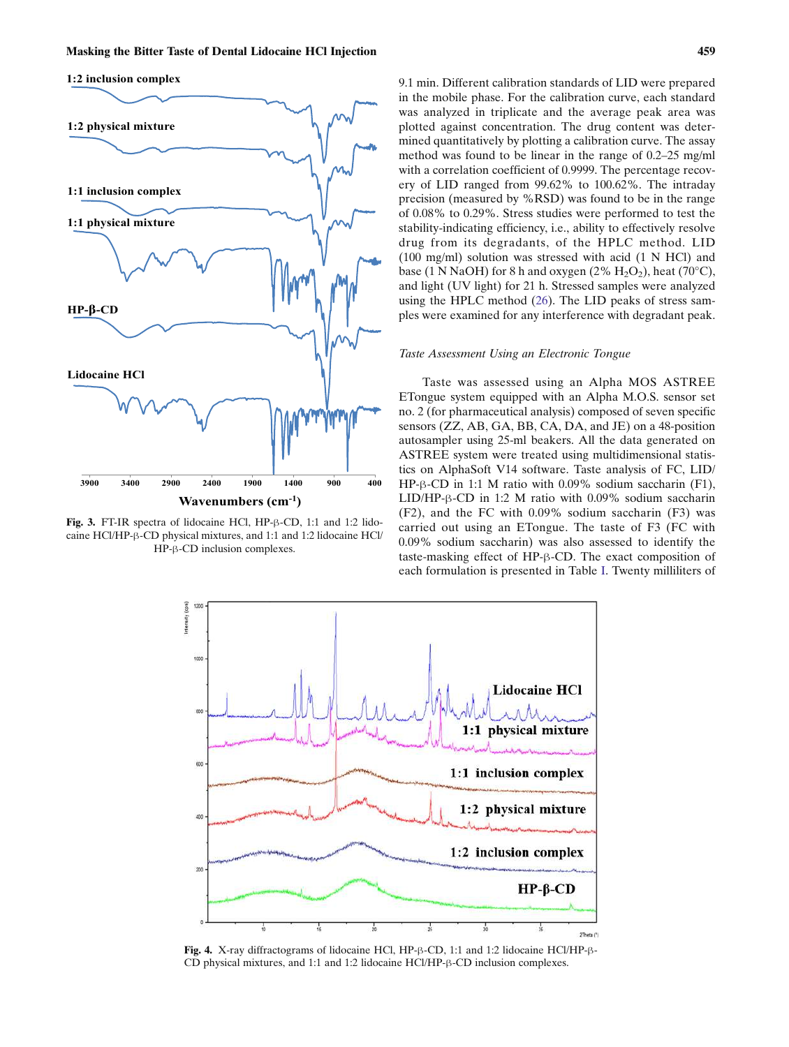<span id="page-4-0"></span>

Fig. 3. FT-IR spectra of lidocaine HCl, HP-β-CD, 1:1 and 1:2 lidocaine HCl/HP-β-CD physical mixtures, and 1:1 and 1:2 lidocaine HCl/ HP-β-CD inclusion complexes.

9.1 min. Different calibration standards of LID were prepared in the mobile phase. For the calibration curve, each standard was analyzed in triplicate and the average peak area was plotted against concentration. The drug content was determined quantitatively by plotting a calibration curve. The assay method was found to be linear in the range of 0.2–25 mg/ml with a correlation coefficient of 0.9999. The percentage recovery of LID ranged from 99.62% to 100.62%. The intraday precision (measured by %RSD) was found to be in the range of 0.08% to 0.29%. Stress studies were performed to test the stability-indicating efficiency, i.e., ability to effectively resolve drug from its degradants, of the HPLC method. LID (100 mg/ml) solution was stressed with acid (1 N HCl) and base (1 N NaOH) for 8 h and oxygen (2%  $H_2O_2$ ), heat (70°C), and light (UV light) for 21 h. Stressed samples were analyzed using the HPLC method ([26\)](#page-9-0). The LID peaks of stress samples were examined for any interference with degradant peak.

# Taste Assessment Using an Electronic Tongue

Taste was assessed using an Alpha MOS ASTREE ETongue system equipped with an Alpha M.O.S. sensor set no. 2 (for pharmaceutical analysis) composed of seven specific sensors (ZZ, AB, GA, BB, CA, DA, and JE) on a 48-position autosampler using 25-ml beakers. All the data generated on ASTREE system were treated using multidimensional statistics on AlphaSoft V14 software. Taste analysis of FC, LID/ HP-β-CD in 1:1 M ratio with 0.09% sodium saccharin (F1), LID/HP-β-CD in 1:2 M ratio with 0.09% sodium saccharin (F2), and the FC with 0.09% sodium saccharin (F3) was carried out using an ETongue. The taste of F3 (FC with 0.09% sodium saccharin) was also assessed to identify the taste-masking effect of HP-β-CD. The exact composition of each formulation is presented in Table [I](#page-2-0). Twenty milliliters of



Fig. 4. X-ray diffractograms of lidocaine HCl, HP-β-CD, 1:1 and 1:2 lidocaine HCl/HP-β-CD physical mixtures, and 1:1 and 1:2 lidocaine HCl/HP-β-CD inclusion complexes.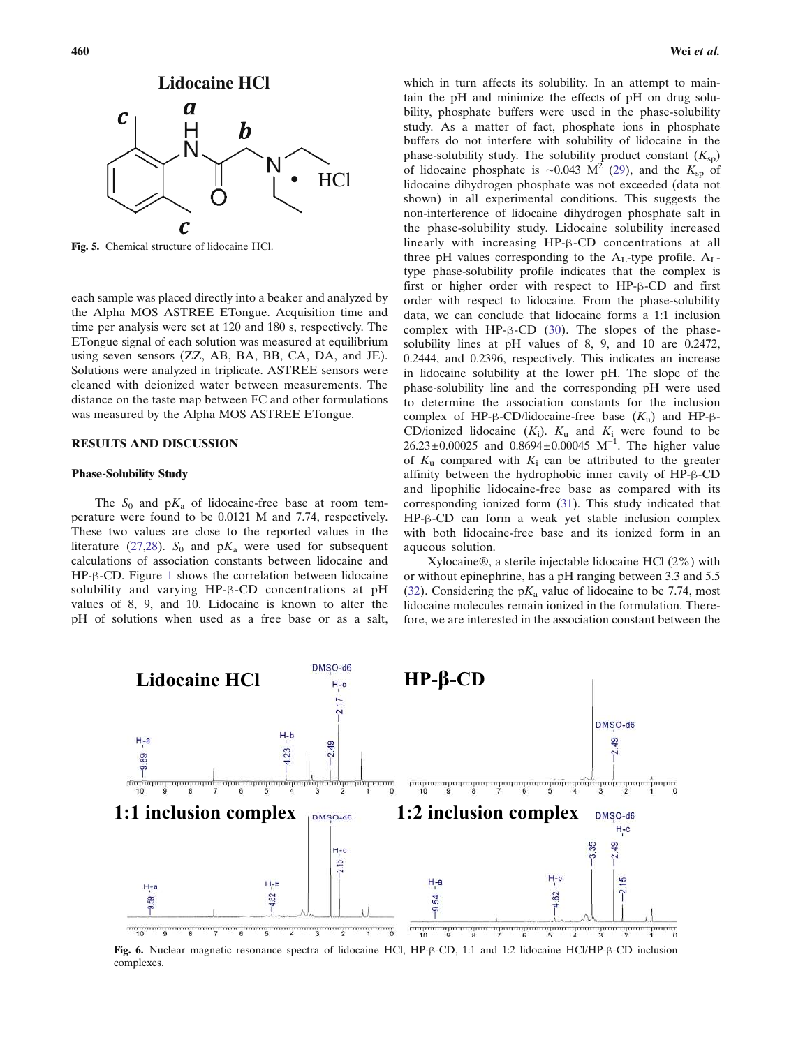<span id="page-5-0"></span>

Fig. 5. Chemical structure of lidocaine HCl.

each sample was placed directly into a beaker and analyzed by the Alpha MOS ASTREE ETongue. Acquisition time and time per analysis were set at 120 and 180 s, respectively. The ETongue signal of each solution was measured at equilibrium using seven sensors (ZZ, AB, BA, BB, CA, DA, and JE). Solutions were analyzed in triplicate. ASTREE sensors were cleaned with deionized water between measurements. The distance on the taste map between FC and other formulations was measured by the Alpha MOS ASTREE ETongue.

# RESULTS AND DISCUSSION

# Phase-Solubility Study

The  $S_0$  and  $pK_a$  of lidocaine-free base at room temperature were found to be 0.0121 M and 7.74, respectively. These two values are close to the reported values in the literature ([27,28](#page-9-0)).  $S_0$  and p $K_a$  were used for subsequent calculations of association constants between lidocaine and HP-β-CD. Figure [1](#page-3-0) shows the correlation between lidocaine solubility and varying HP-β-CD concentrations at pH values of 8, 9, and 10. Lidocaine is known to alter the pH of solutions when used as a free base or as a salt,

which in turn affects its solubility. In an attempt to maintain the pH and minimize the effects of pH on drug solubility, phosphate buffers were used in the phase-solubility study. As a matter of fact, phosphate ions in phosphate buffers do not interfere with solubility of lidocaine in the phase-solubility study. The solubility product constant  $(K_{\text{sp}})$ of lidocaine phosphate is ~0.043 M<sup>2</sup> [\(29](#page-9-0)), and the K<sub>sp</sub> of lidocaine dihydrogen phosphate was not exceeded (data not shown) in all experimental conditions. This suggests the non-interference of lidocaine dihydrogen phosphate salt in the phase-solubility study. Lidocaine solubility increased linearly with increasing HP-β-CD concentrations at all three pH values corresponding to the  $A_L$ -type profile.  $A_L$ type phase-solubility profile indicates that the complex is first or higher order with respect to HP-β-CD and first order with respect to lidocaine. From the phase-solubility data, we can conclude that lidocaine forms a 1:1 inclusion complex with HP-β-CD  $(30)$ . The slopes of the phasesolubility lines at pH values of 8, 9, and 10 are 0.2472, 0.2444, and 0.2396, respectively. This indicates an increase in lidocaine solubility at the lower pH. The slope of the phase-solubility line and the corresponding pH were used to determine the association constants for the inclusion complex of HP-β-CD/lidocaine-free base  $(K<sub>u</sub>)$  and HP-β-CD/ionized lidocaine  $(K_i)$ .  $K_u$  and  $K_i$  were found to be  $26.23 \pm 0.00025$  and  $0.8694 \pm 0.00045$  M<sup>-1</sup>. The higher value of  $K<sub>u</sub>$  compared with  $K<sub>i</sub>$  can be attributed to the greater affinity between the hydrophobic inner cavity of HP-β-CD and lipophilic lidocaine-free base as compared with its corresponding ionized form ([31\)](#page-9-0). This study indicated that HP-β-CD can form a weak yet stable inclusion complex with both lidocaine-free base and its ionized form in an aqueous solution.

Xylocaine®, a sterile injectable lidocaine HCl (2%) with or without epinephrine, has a pH ranging between 3.3 and 5.5 [\(32](#page-9-0)). Considering the  $pK_a$  value of lidocaine to be 7.74, most lidocaine molecules remain ionized in the formulation. Therefore, we are interested in the association constant between the



Fig. 6. Nuclear magnetic resonance spectra of lidocaine HCl, HP-β-CD, 1:1 and 1:2 lidocaine HCl/HP-β-CD inclusion complexes.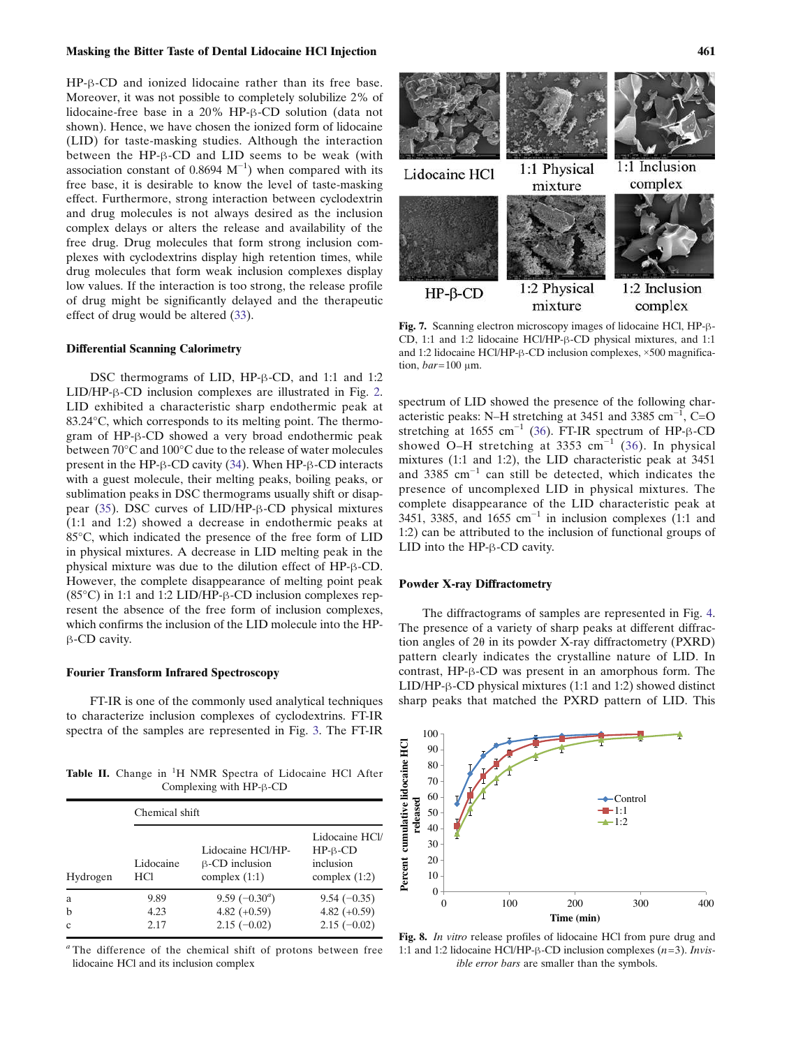#### <span id="page-6-0"></span>Masking the Bitter Taste of Dental Lidocaine HCl Injection 461

HP-β-CD and ionized lidocaine rather than its free base. Moreover, it was not possible to completely solubilize 2% of lidocaine-free base in a 20% HP-β-CD solution (data not shown). Hence, we have chosen the ionized form of lidocaine (LID) for taste-masking studies. Although the interaction between the HP-β-CD and LID seems to be weak (with association constant of  $0.8694 \text{ M}^{-1}$ ) when compared with its free base, it is desirable to know the level of taste-masking effect. Furthermore, strong interaction between cyclodextrin and drug molecules is not always desired as the inclusion complex delays or alters the release and availability of the free drug. Drug molecules that form strong inclusion complexes with cyclodextrins display high retention times, while drug molecules that form weak inclusion complexes display low values. If the interaction is too strong, the release profile of drug might be significantly delayed and the therapeutic effect of drug would be altered [\(33](#page-10-0)).

#### Differential Scanning Calorimetry

DSC thermograms of LID, HP-β-CD, and 1:1 and 1:2 LID/HP-β-CD inclusion complexes are illustrated in Fig. [2.](#page-3-0) LID exhibited a characteristic sharp endothermic peak at 83.24°C, which corresponds to its melting point. The thermogram of HP-β-CD showed a very broad endothermic peak between 70°C and 100°C due to the release of water molecules present in the HP-β-CD cavity ([34](#page-10-0)). When HP-β-CD interacts with a guest molecule, their melting peaks, boiling peaks, or sublimation peaks in DSC thermograms usually shift or disappear [\(35](#page-10-0)). DSC curves of LID/HP-β-CD physical mixtures (1:1 and 1:2) showed a decrease in endothermic peaks at 85°C, which indicated the presence of the free form of LID in physical mixtures. A decrease in LID melting peak in the physical mixture was due to the dilution effect of HP-β-CD. However, the complete disappearance of melting point peak (85°C) in 1:1 and 1:2 LID/HP-β-CD inclusion complexes represent the absence of the free form of inclusion complexes, which confirms the inclusion of the LID molecule into the HPβ-CD cavity.

# Fourier Transform Infrared Spectroscopy

FT-IR is one of the commonly used analytical techniques to characterize inclusion complexes of cyclodextrins. FT-IR spectra of the samples are represented in Fig. [3.](#page-4-0) The FT-IR

Table II. Change in <sup>1</sup>H NMR Spectra of Lidocaine HCl After Complexing with HP-β-CD

|                        | Chemical shift          |                                                               |                                                             |  |  |
|------------------------|-------------------------|---------------------------------------------------------------|-------------------------------------------------------------|--|--|
| Hydrogen               | Lidocaine<br><b>HCI</b> | Lidocaine HCl/HP-<br>$\beta$ -CD inclusion<br>complex $(1:1)$ | Lidocaine HCl/<br>$HP-B-CD$<br>inclusion<br>complex $(1:2)$ |  |  |
| a<br>b<br>$\mathbf{c}$ | 9.89<br>4.23<br>2.17    | 9.59 $(-0.30^a)$<br>4.82 $(+0.59)$<br>$2.15(-0.02)$           | $9.54(-0.35)$<br>4.82 $(+0.59)$<br>$2.15(-0.02)$            |  |  |

<sup>a</sup>The difference of the chemical shift of protons between free lidocaine HCl and its inclusion complex



Fig. 7. Scanning electron microscopy images of lidocaine HCl, HP-β-CD, 1:1 and 1:2 lidocaine HCl/HP-β-CD physical mixtures, and 1:1 and 1:2 lidocaine HCl/HP-β-CD inclusion complexes, ×500 magnification,  $bar=100 \mu m$ .

spectrum of LID showed the presence of the following characteristic peaks: N–H stretching at 3451 and 3385 cm<sup>-1</sup>, C=O stretching at 1655 cm<sup>-1</sup> [\(36](#page-10-0)). FT-IR spectrum of HP- $\beta$ -CD showed O–H stretching at 3353 cm<sup>-1</sup> [\(36](#page-10-0)). In physical mixtures (1:1 and 1:2), the LID characteristic peak at 3451 and 3385 cm−<sup>1</sup> can still be detected, which indicates the presence of uncomplexed LID in physical mixtures. The complete disappearance of the LID characteristic peak at 3451, 3385, and 1655 cm<sup>-1</sup> in inclusion complexes (1:1 and 1:2) can be attributed to the inclusion of functional groups of LID into the HP-β-CD cavity.

#### Powder X-ray Diffractometry

The diffractograms of samples are represented in Fig. [4.](#page-4-0) The presence of a variety of sharp peaks at different diffraction angles of 2θ in its powder X-ray diffractometry (PXRD) pattern clearly indicates the crystalline nature of LID. In contrast, HP-β-CD was present in an amorphous form. The LID/HP-β-CD physical mixtures (1:1 and 1:2) showed distinct sharp peaks that matched the PXRD pattern of LID. This



Fig. 8. In vitro release profiles of lidocaine HCl from pure drug and 1:1 and 1:2 lidocaine HCl/HP-β-CD inclusion complexes  $(n=3)$ . Invisible error bars are smaller than the symbols.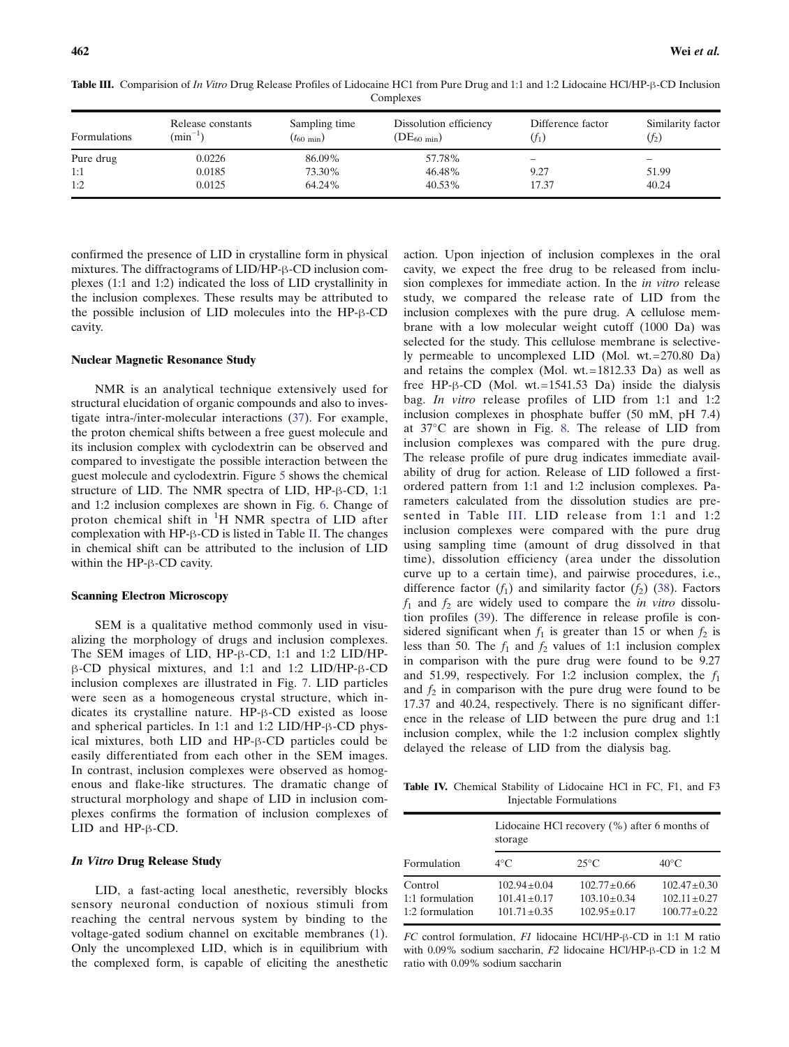| Formulations | Release constants<br>$(\text{min}^{-1})$ | Sampling time<br>$(t_{60 \text{ min}})$ | Dissolution efficiency<br>$(DE_{60 \text{ min}})$ | Difference factor | Similarity factor<br>$(f_2)$ |
|--------------|------------------------------------------|-----------------------------------------|---------------------------------------------------|-------------------|------------------------------|
| Pure drug    | 0.0226                                   | 86.09%                                  | 57.78%                                            | -                 | $\overline{\phantom{0}}$     |
| 1:1          | 0.0185                                   | 73.30%                                  | 46.48%                                            | 9.27              | 51.99                        |
| 1:2          | 0.0125                                   | 64.24%                                  | 40.53%                                            | 17.37             | 40.24                        |

<span id="page-7-0"></span>Table III. Comparision of In Vitro Drug Release Profiles of Lidocaine HC1 from Pure Drug and 1:1 and 1:2 Lidocaine HCl/HP-β-CD Inclusion Complexes

confirmed the presence of LID in crystalline form in physical mixtures. The diffractograms of LID/HP-β-CD inclusion complexes (1:1 and 1:2) indicated the loss of LID crystallinity in the inclusion complexes. These results may be attributed to the possible inclusion of LID molecules into the HP-β-CD cavity.

# Nuclear Magnetic Resonance Study

NMR is an analytical technique extensively used for structural elucidation of organic compounds and also to investigate intra-/inter-molecular interactions ([37\)](#page-10-0). For example, the proton chemical shifts between a free guest molecule and its inclusion complex with cyclodextrin can be observed and compared to investigate the possible interaction between the guest molecule and cyclodextrin. Figure [5](#page-5-0) shows the chemical structure of LID. The NMR spectra of LID, HP-β-CD, 1:1 and 1:2 inclusion complexes are shown in Fig. [6.](#page-5-0) Change of proton chemical shift in  ${}^{1}H$  NMR spectra of LID after complexation with HP-β-CD is listed in Table [II.](#page-6-0) The changes in chemical shift can be attributed to the inclusion of LID within the HP-β-CD cavity.

# Scanning Electron Microscopy

SEM is a qualitative method commonly used in visualizing the morphology of drugs and inclusion complexes. The SEM images of LID, HP-β-CD, 1:1 and 1:2 LID/HPβ-CD physical mixtures, and 1:1 and 1:2 LID/HP-β-CD inclusion complexes are illustrated in Fig. [7.](#page-6-0) LID particles were seen as a homogeneous crystal structure, which indicates its crystalline nature. HP-β-CD existed as loose and spherical particles. In 1:1 and 1:2 LID/HP-β-CD physical mixtures, both LID and HP-β-CD particles could be easily differentiated from each other in the SEM images. In contrast, inclusion complexes were observed as homogenous and flake-like structures. The dramatic change of structural morphology and shape of LID in inclusion complexes confirms the formation of inclusion complexes of LID and HP-β-CD.

#### In Vitro Drug Release Study

LID, a fast-acting local anesthetic, reversibly blocks sensory neuronal conduction of noxious stimuli from reaching the central nervous system by binding to the voltage-gated sodium channel on excitable membranes ([1](#page-9-0)). Only the uncomplexed LID, which is in equilibrium with the complexed form, is capable of eliciting the anesthetic action. Upon injection of inclusion complexes in the oral cavity, we expect the free drug to be released from inclusion complexes for immediate action. In the in vitro release study, we compared the release rate of LID from the inclusion complexes with the pure drug. A cellulose membrane with a low molecular weight cutoff (1000 Da) was selected for the study. This cellulose membrane is selectively permeable to uncomplexed LID (Mol. wt.=270.80 Da) and retains the complex (Mol. wt.=1812.33 Da) as well as free HP- $\beta$ -CD (Mol. wt.=1541.53 Da) inside the dialysis bag. *In vitro* release profiles of LID from 1:1 and 1:2 inclusion complexes in phosphate buffer (50 mM, pH 7.4) at 37°C are shown in Fig. [8.](#page-6-0) The release of LID from inclusion complexes was compared with the pure drug. The release profile of pure drug indicates immediate availability of drug for action. Release of LID followed a firstordered pattern from 1:1 and 1:2 inclusion complexes. Parameters calculated from the dissolution studies are presented in Table III. LID release from 1:1 and 1:2 inclusion complexes were compared with the pure drug using sampling time (amount of drug dissolved in that time), dissolution efficiency (area under the dissolution curve up to a certain time), and pairwise procedures, i.e., difference factor  $(f_1)$  and similarity factor  $(f_2)$  ([38\)](#page-10-0). Factors  $f_1$  and  $f_2$  are widely used to compare the *in vitro* dissolution profiles [\(39](#page-10-0)). The difference in release profile is considered significant when  $f_1$  is greater than 15 or when  $f_2$  is less than 50. The  $f_1$  and  $f_2$  values of 1:1 inclusion complex in comparison with the pure drug were found to be 9.27 and 51.99, respectively. For 1:2 inclusion complex, the  $f_1$ and  $f_2$  in comparison with the pure drug were found to be 17.37 and 40.24, respectively. There is no significant difference in the release of LID between the pure drug and 1:1 inclusion complex, while the 1:2 inclusion complex slightly delayed the release of LID from the dialysis bag.

Table IV. Chemical Stability of Lidocaine HCl in FC, F1, and F3 Injectable Formulations

|                                               | Lidocaine HCl recovery $(\%)$ after 6 months of<br>storage  |                                                           |                                                       |  |
|-----------------------------------------------|-------------------------------------------------------------|-----------------------------------------------------------|-------------------------------------------------------|--|
| Formulation                                   | $4^{\circ}$ C                                               | $25^{\circ}$ C                                            | $40^{\circ}$ C                                        |  |
| Control<br>1:1 formulation<br>1:2 formulation | $102.94 \pm 0.04$<br>$101.41 \pm 0.17$<br>$101.71 \pm 0.35$ | $102.77 + 0.66$<br>$103.10 \pm 0.34$<br>$102.95 \pm 0.17$ | $102.47 + 0.30$<br>$102.11 + 0.27$<br>$100.77 + 0.22$ |  |

FC control formulation, F1 lidocaine HCl/HP-β-CD in 1:1 M ratio with 0.09% sodium saccharin, F2 lidocaine HCl/HP-β-CD in 1:2 M ratio with 0.09% sodium saccharin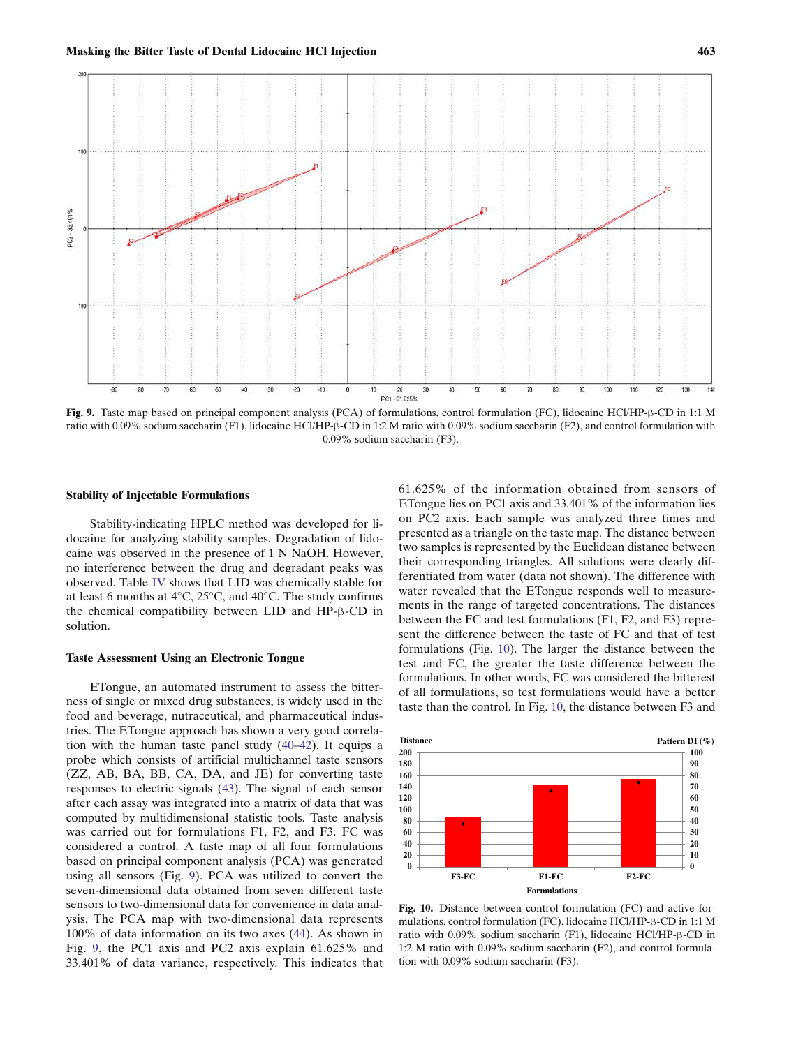

Fig. 9. Taste map based on principal component analysis (PCA) of formulations, control formulation (FC), lidocaine HCl/HP-β-CD in 1:1 M ratio with 0.09% sodium saccharin (F1), lidocaine HCl/HP-β-CD in 1:2 M ratio with 0.09% sodium saccharin (F2), and control formulation with 0.09% sodium saccharin (F3).

#### Stability of Injectable Formulations

Stability-indicating HPLC method was developed for lidocaine for analyzing stability samples. Degradation of lidocaine was observed in the presence of 1 N NaOH. However, no interference between the drug and degradant peaks was observed. Table [IV](#page-7-0) shows that LID was chemically stable for at least 6 months at 4°C, 25°C, and 40°C. The study confirms the chemical compatibility between LID and HP-β-CD in solution.

#### Taste Assessment Using an Electronic Tongue

ETongue, an automated instrument to assess the bitterness of single or mixed drug substances, is widely used in the food and beverage, nutraceutical, and pharmaceutical industries. The ETongue approach has shown a very good correlation with the human taste panel study ([40](#page-10-0)–[42](#page-10-0)). It equips a probe which consists of artificial multichannel taste sensors (ZZ, AB, BA, BB, CA, DA, and JE) for converting taste responses to electric signals ([43\)](#page-10-0). The signal of each sensor after each assay was integrated into a matrix of data that was computed by multidimensional statistic tools. Taste analysis was carried out for formulations F1, F2, and F3. FC was considered a control. A taste map of all four formulations based on principal component analysis (PCA) was generated using all sensors (Fig. 9). PCA was utilized to convert the seven-dimensional data obtained from seven different taste sensors to two-dimensional data for convenience in data analysis. The PCA map with two-dimensional data represents 100% of data information on its two axes ([44\)](#page-10-0). As shown in Fig. 9, the PC1 axis and PC2 axis explain 61.625% and 33.401% of data variance, respectively. This indicates that

61.625% of the information obtained from sensors of ETongue lies on PC1 axis and 33.401% of the information lies on PC2 axis. Each sample was analyzed three times and presented as a triangle on the taste map. The distance between two samples is represented by the Euclidean distance between their corresponding triangles. All solutions were clearly differentiated from water (data not shown). The difference with water revealed that the ETongue responds well to measurements in the range of targeted concentrations. The distances between the FC and test formulations (F1, F2, and F3) represent the difference between the taste of FC and that of test formulations (Fig. 10). The larger the distance between the test and FC, the greater the taste difference between the formulations. In other words, FC was considered the bitterest of all formulations, so test formulations would have a better taste than the control. In Fig. 10, the distance between F3 and



Fig. 10. Distance between control formulation (FC) and active formulations, control formulation (FC), lidocaine HCl/HP-β-CD in 1:1 M ratio with 0.09% sodium saccharin (F1), lidocaine HCl/HP-β-CD in 1:2 M ratio with 0.09% sodium saccharin (F2), and control formulation with 0.09% sodium saccharin (F3).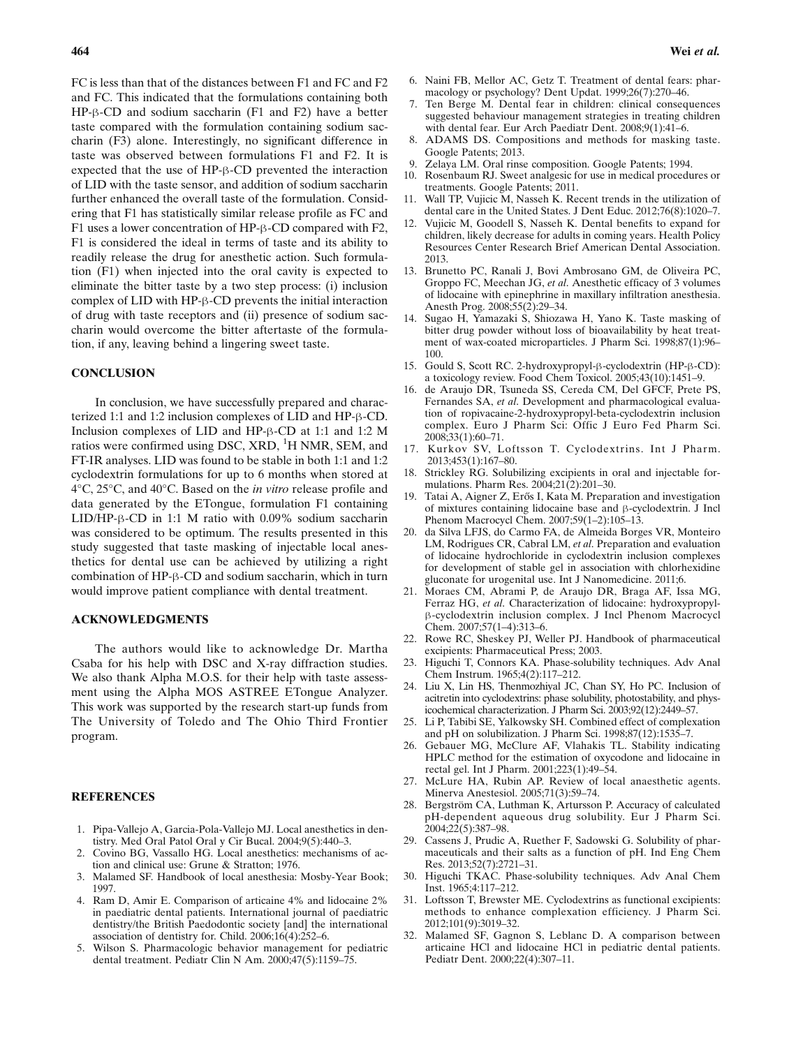<span id="page-9-0"></span>FC is less than that of the distances between F1 and FC and F2 and FC. This indicated that the formulations containing both HP-β-CD and sodium saccharin (F1 and F2) have a better taste compared with the formulation containing sodium saccharin (F3) alone. Interestingly, no significant difference in taste was observed between formulations F1 and F2. It is expected that the use of HP-β-CD prevented the interaction of LID with the taste sensor, and addition of sodium saccharin further enhanced the overall taste of the formulation. Considering that F1 has statistically similar release profile as FC and F1 uses a lower concentration of HP-β-CD compared with F2, F1 is considered the ideal in terms of taste and its ability to readily release the drug for anesthetic action. Such formulation (F1) when injected into the oral cavity is expected to eliminate the bitter taste by a two step process: (i) inclusion complex of LID with HP-β-CD prevents the initial interaction of drug with taste receptors and (ii) presence of sodium saccharin would overcome the bitter aftertaste of the formulation, if any, leaving behind a lingering sweet taste.

# **CONCLUSION**

In conclusion, we have successfully prepared and characterized 1:1 and 1:2 inclusion complexes of LID and HP-β-CD. Inclusion complexes of LID and HP-β-CD at 1:1 and 1:2 M ratios were confirmed using DSC, XRD, <sup>1</sup>H NMR, SEM, and FT-IR analyses. LID was found to be stable in both 1:1 and 1:2 cyclodextrin formulations for up to 6 months when stored at 4°C, 25°C, and 40°C. Based on the in vitro release profile and data generated by the ETongue, formulation F1 containing LID/HP-β-CD in 1:1 M ratio with 0.09% sodium saccharin was considered to be optimum. The results presented in this study suggested that taste masking of injectable local anesthetics for dental use can be achieved by utilizing a right combination of HP-β-CD and sodium saccharin, which in turn would improve patient compliance with dental treatment.

#### ACKNOWLEDGMENTS

The authors would like to acknowledge Dr. Martha Csaba for his help with DSC and X-ray diffraction studies. We also thank Alpha M.O.S. for their help with taste assessment using the Alpha MOS ASTREE ETongue Analyzer. This work was supported by the research start-up funds from The University of Toledo and The Ohio Third Frontier program.

# **REFERENCES**

- 1. Pipa-Vallejo A, Garcia-Pola-Vallejo MJ. Local anesthetics in dentistry. Med Oral Patol Oral y Cir Bucal. 2004;9(5):440–3.
- 2. Covino BG, Vassallo HG. Local anesthetics: mechanisms of action and clinical use: Grune & Stratton; 1976.
- 3. Malamed SF. Handbook of local anesthesia: Mosby-Year Book; 1997.
- 4. Ram D, Amir E. Comparison of articaine 4% and lidocaine 2% in paediatric dental patients. International journal of paediatric dentistry/the British Paedodontic society [and] the international association of dentistry for. Child. 2006;16(4):252–6.
- 5. Wilson S. Pharmacologic behavior management for pediatric dental treatment. Pediatr Clin N Am. 2000;47(5):1159–75.
- 6. Naini FB, Mellor AC, Getz T. Treatment of dental fears: pharmacology or psychology? Dent Updat. 1999;26(7):270–46.
- 7. Ten Berge M. Dental fear in children: clinical consequences suggested behaviour management strategies in treating children with dental fear. Eur Arch Paediatr Dent. 2008;9(1):41–6.
- 8. ADAMS DS. Compositions and methods for masking taste. Google Patents; 2013.
- 9. Zelaya LM. Oral rinse composition. Google Patents; 1994.
- 10. Rosenbaum RJ. Sweet analgesic for use in medical procedures or treatments. Google Patents; 2011.
- 11. Wall TP, Vujicic M, Nasseh K. Recent trends in the utilization of dental care in the United States. J Dent Educ. 2012;76(8):1020–7.
- 12. Vujicic M, Goodell S, Nasseh K. Dental benefits to expand for children, likely decrease for adults in coming years. Health Policy Resources Center Research Brief American Dental Association. 2013.
- 13. Brunetto PC, Ranali J, Bovi Ambrosano GM, de Oliveira PC, Groppo FC, Meechan JG, et al. Anesthetic efficacy of 3 volumes of lidocaine with epinephrine in maxillary infiltration anesthesia. Anesth Prog. 2008;55(2):29–34.
- 14. Sugao H, Yamazaki S, Shiozawa H, Yano K. Taste masking of bitter drug powder without loss of bioavailability by heat treatment of wax-coated microparticles. J Pharm Sci. 1998;87(1):96– 100.
- 15. Gould S, Scott RC. 2-hydroxypropyl-β-cyclodextrin (HP-β-CD): a toxicology review. Food Chem Toxicol. 2005;43(10):1451–9.
- 16. de Araujo DR, Tsuneda SS, Cereda CM, Del GFCF, Prete PS, Fernandes SA, et al. Development and pharmacological evaluation of ropivacaine-2-hydroxypropyl-beta-cyclodextrin inclusion complex. Euro J Pharm Sci: Offic J Euro Fed Pharm Sci. 2008;33(1):60–71.
- 17. Kurkov SV, Loftsson T. Cyclodextrins. Int J Pharm. 2013;453(1):167–80.
- 18. Strickley RG. Solubilizing excipients in oral and injectable formulations. Pharm Res. 2004;21(2):201–30.
- 19. Tatai A, Aigner Z, Erős I, Kata M. Preparation and investigation of mixtures containing lidocaine base and β-cyclodextrin. J Incl Phenom Macrocycl Chem. 2007;59(1–2):105–13.
- 20. da Silva LFJS, do Carmo FA, de Almeida Borges VR, Monteiro LM, Rodrigues CR, Cabral LM, et al. Preparation and evaluation of lidocaine hydrochloride in cyclodextrin inclusion complexes for development of stable gel in association with chlorhexidine gluconate for urogenital use. Int J Nanomedicine. 2011;6.
- 21. Moraes CM, Abrami P, de Araujo DR, Braga AF, Issa MG, Ferraz HG, et al. Characterization of lidocaine: hydroxypropylβ-cyclodextrin inclusion complex. J Incl Phenom Macrocycl Chem. 2007;57(1–4):313–6.
- 22. Rowe RC, Sheskey PJ, Weller PJ. Handbook of pharmaceutical excipients: Pharmaceutical Press; 2003.
- 23. Higuchi T, Connors KA. Phase-solubility techniques. Adv Anal Chem Instrum. 1965;4(2):117–212.
- 24. Liu X, Lin HS, Thenmozhiyal JC, Chan SY, Ho PC. Inclusion of acitretin into cyclodextrins: phase solubility, photostability, and physicochemical characterization. J Pharm Sci. 2003;92(12):2449–57.
- 25. Li P, Tabibi SE, Yalkowsky SH. Combined effect of complexation and pH on solubilization. J Pharm Sci. 1998;87(12):1535–7.
- 26. Gebauer MG, McClure AF, Vlahakis TL. Stability indicating HPLC method for the estimation of oxycodone and lidocaine in rectal gel. Int J Pharm. 2001;223(1):49–54.
- 27. McLure HA, Rubin AP. Review of local anaesthetic agents. Minerva Anestesiol. 2005;71(3):59–74.
- 28. Bergström CA, Luthman K, Artursson P. Accuracy of calculated pH-dependent aqueous drug solubility. Eur J Pharm Sci. 2004;22(5):387–98.
- 29. Cassens J, Prudic A, Ruether F, Sadowski G. Solubility of pharmaceuticals and their salts as a function of pH. Ind Eng Chem Res. 2013;52(7):2721–31.
- 30. Higuchi TKAC. Phase-solubility techniques. Adv Anal Chem Inst. 1965;4:117–212.
- 31. Loftsson T, Brewster ME. Cyclodextrins as functional excipients: methods to enhance complexation efficiency. J Pharm Sci. 2012;101(9):3019–32.
- 32. Malamed SF, Gagnon S, Leblanc D. A comparison between articaine HCl and lidocaine HCl in pediatric dental patients. Pediatr Dent. 2000;22(4):307–11.